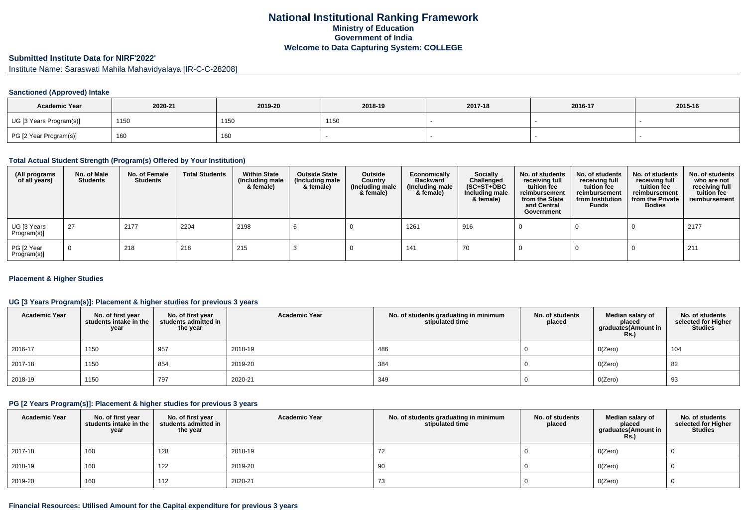# **National Institutional Ranking FrameworkMinistry of Education Government of IndiaWelcome to Data Capturing System: COLLEGE**

### **Submitted Institute Data for NIRF'2022'**

Institute Name: Saraswati Mahila Mahavidyalaya [IR-C-C-28208]

#### **Sanctioned (Approved) Intake**

| <b>Academic Year</b>    | 2020-21 | 2019-20 | 2018-19 | 2017-18 | 2016-17 | 2015-16 |
|-------------------------|---------|---------|---------|---------|---------|---------|
| UG [3 Years Program(s)] | 1150    | 1150    | 1150    |         |         |         |
| PG [2 Year Program(s)]  | 160     | 160     |         |         |         |         |

#### **Total Actual Student Strength (Program(s) Offered by Your Institution)**

| (All programs<br>of all years) | No. of Male<br><b>Students</b> | No. of Female<br><b>Students</b> | <b>Total Students</b> | <b>Within State</b><br>(Including male<br>& female) | <b>Outside State</b><br>(Including male<br>& female) | Outside<br>Country<br>(Including male<br>& female) | Economically<br><b>Backward</b><br>(Including male<br>& female) | <b>Socially</b><br>Challenged<br>$(SC+ST+OBC)$<br>Including male<br>& female) | No. of students<br>receiving full<br>tuition fee<br>reimbursement<br>from the State<br>and Central<br>Government | No. of students<br>receiving full<br>tuition fee<br>reimbursement<br>from Institution<br><b>Funds</b> | No. of students<br>receiving full<br>tuition fee<br>reimbursement<br>from the Private<br><b>Bodies</b> | No. of students<br>who are not<br>receiving full<br>tuition fee<br>reimbursement |
|--------------------------------|--------------------------------|----------------------------------|-----------------------|-----------------------------------------------------|------------------------------------------------------|----------------------------------------------------|-----------------------------------------------------------------|-------------------------------------------------------------------------------|------------------------------------------------------------------------------------------------------------------|-------------------------------------------------------------------------------------------------------|--------------------------------------------------------------------------------------------------------|----------------------------------------------------------------------------------|
| UG [3 Years<br>Program(s)]     | 27                             | 2177                             | 2204                  | 2198                                                |                                                      |                                                    | 1261                                                            | 916                                                                           |                                                                                                                  |                                                                                                       |                                                                                                        | 2177                                                                             |
| PG [2 Year<br>Program(s)]      | $\Omega$                       | 218                              | 218                   | 215                                                 |                                                      |                                                    | 141                                                             | 70                                                                            |                                                                                                                  |                                                                                                       |                                                                                                        | 211                                                                              |

#### **Placement & Higher Studies**

## **UG [3 Years Program(s)]: Placement & higher studies for previous 3 years**

| <b>Academic Year</b> | No. of first year<br>students intake in the<br>year | No. of first year<br>students admitted in<br>the year | <b>Academic Year</b> | No. of students graduating in minimum<br>stipulated time | No. of students<br>placed | Median salary of<br>placed<br>graduates(Amount in<br><b>Rs.)</b> | No. of students<br>selected for Higher<br><b>Studies</b> |
|----------------------|-----------------------------------------------------|-------------------------------------------------------|----------------------|----------------------------------------------------------|---------------------------|------------------------------------------------------------------|----------------------------------------------------------|
| 2016-17              | 1150                                                | 957                                                   | 2018-19              | 486                                                      |                           | O(Zero)                                                          | 104                                                      |
| 2017-18              | 1150                                                | 854                                                   | 2019-20              | 384                                                      |                           | O(Zero)                                                          | 82                                                       |
| 2018-19              | 1150                                                | 797                                                   | 2020-21              | 349                                                      |                           | O(Zero)                                                          | 93                                                       |

### **PG [2 Years Program(s)]: Placement & higher studies for previous 3 years**

| <b>Academic Year</b> | No. of first year<br>students intake in the<br>year | No. of first year<br>students admitted in<br>the year | <b>Academic Year</b> | No. of students graduating in minimum<br>stipulated time | No. of students<br>placed | Median salary of<br>placed<br>graduates(Amount in<br>Rs. | No. of students<br>selected for Higher<br><b>Studies</b> |
|----------------------|-----------------------------------------------------|-------------------------------------------------------|----------------------|----------------------------------------------------------|---------------------------|----------------------------------------------------------|----------------------------------------------------------|
| 2017-18              | 160                                                 | 128                                                   | 2018-19              |                                                          |                           | O(Zero)                                                  |                                                          |
| 2018-19              | 160                                                 | 122                                                   | 2019-20              | 90                                                       |                           | O(Zero)                                                  |                                                          |
| 2019-20              | 160                                                 | 112                                                   | 2020-21              | 73                                                       |                           | O(Zero)                                                  |                                                          |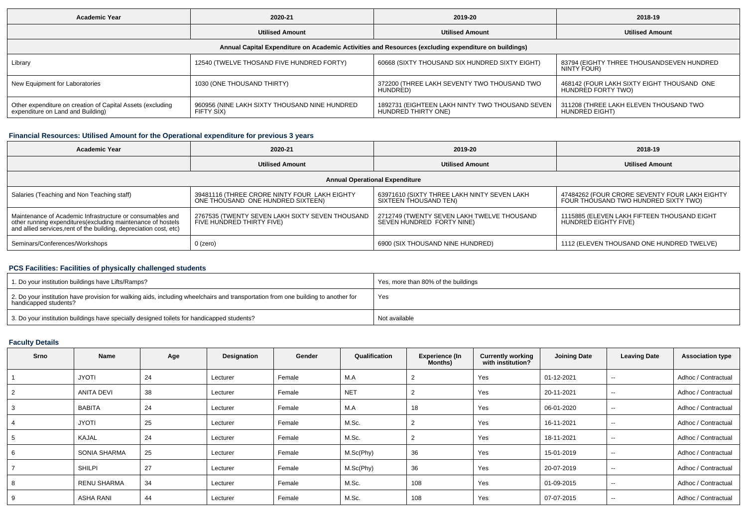| <b>Academic Year</b>                                                                                 | 2020-21                                                     | 2019-20                                                                | 2018-19                                                          |  |  |  |  |  |  |  |
|------------------------------------------------------------------------------------------------------|-------------------------------------------------------------|------------------------------------------------------------------------|------------------------------------------------------------------|--|--|--|--|--|--|--|
|                                                                                                      | <b>Utilised Amount</b>                                      | <b>Utilised Amount</b>                                                 | <b>Utilised Amount</b>                                           |  |  |  |  |  |  |  |
| Annual Capital Expenditure on Academic Activities and Resources (excluding expenditure on buildings) |                                                             |                                                                        |                                                                  |  |  |  |  |  |  |  |
| Library                                                                                              | 12540 (TWELVE THOSAND FIVE HUNDRED FORTY)                   | 60668 (SIXTY THOUSAND SIX HUNDRED SIXTY EIGHT)                         | 83794 (EIGHTY THREE THOUSANDSEVEN HUNDRED<br>NINTY FOUR)         |  |  |  |  |  |  |  |
| New Equipment for Laboratories                                                                       | 1030 (ONE THOUSAND THIRTY)                                  | 372200 (THREE LAKH SEVENTY TWO THOUSAND TWO<br>HUNDRÈD)                | 468142 (FOUR LAKH SIXTY EIGHT THOUSAND ONE<br>HUNDRÉD FORTY TWO) |  |  |  |  |  |  |  |
| Other expenditure on creation of Capital Assets (excluding<br>expenditure on Land and Building)      | 960956 (NINE LAKH SIXTY THOUSAND NINE HUNDRED<br>FIFTY SIX) | 1892731 (EIGHTEEN LAKH NINTY TWO THOUSAND SEVEN<br>HUNDRED THIRTY ONE) | 311208 (THREE LAKH ELEVEN THOUSAND TWO<br>HUNDRÉD EIGHT)         |  |  |  |  |  |  |  |

## **Financial Resources: Utilised Amount for the Operational expenditure for previous 3 years**

| <b>Academic Year</b><br>2020-21                                                                                                                                                                 |                                                                                   | 2019-20                                                                 | 2018-19                                                                               |  |  |  |  |  |  |
|-------------------------------------------------------------------------------------------------------------------------------------------------------------------------------------------------|-----------------------------------------------------------------------------------|-------------------------------------------------------------------------|---------------------------------------------------------------------------------------|--|--|--|--|--|--|
|                                                                                                                                                                                                 | <b>Utilised Amount</b>                                                            | <b>Utilised Amount</b>                                                  | <b>Utilised Amount</b>                                                                |  |  |  |  |  |  |
| <b>Annual Operational Expenditure</b>                                                                                                                                                           |                                                                                   |                                                                         |                                                                                       |  |  |  |  |  |  |
| Salaries (Teaching and Non Teaching staff)                                                                                                                                                      | 39481116 (THREE CRORE NINTY FOUR LAKH EIGHTY<br>ONE THOUSAND ONE HUNDRED SIXTEEN) | 63971610 (SIXTY THREE LAKH NINTY SEVEN LAKH<br>SIXTEEN THOUSAND TEN)    | 47484262 (FOUR CRORE SEVENTY FOUR LAKH EIGHTY<br>FOUR THOUSAND TWO HUNDRED SIXTY TWO) |  |  |  |  |  |  |
| Maintenance of Academic Infrastructure or consumables and<br>other running expenditures (excluding maintenance of hostels<br>and allied services, rent of the building, depreciation cost, etc) | 2767535 (TWENTY SEVEN LAKH SIXTY SEVEN THOUSAND<br>FIVE HUNDRED THIRTY FIVE)      | 2712749 (TWENTY SEVEN LAKH TWELVE THOUSAND<br>SEVEN HUNDRED FORTY NINE) | 1115885 (ELEVEN LAKH FIFTEEN THOUSAND EIGHT<br>HUNDRED EIGHTY FIVE)                   |  |  |  |  |  |  |
| Seminars/Conferences/Workshops                                                                                                                                                                  | 0 (zero)                                                                          | 6900 (SIX THOUSAND NINE HUNDRED)                                        | 1112 (ELEVEN THOUSAND ONE HUNDRED TWELVE)                                             |  |  |  |  |  |  |

## **PCS Facilities: Facilities of physically challenged students**

| 1. Do your institution buildings have Lifts/Ramps?                                                                                                         | Yes, more than 80% of the buildings |
|------------------------------------------------------------------------------------------------------------------------------------------------------------|-------------------------------------|
| 2. Do your institution have provision for walking aids, including wheelchairs and transportation from one building to another for<br>handicapped students? | Yes                                 |
| 3. Do your institution buildings have specially designed toilets for handicapped students?                                                                 | Not available                       |

## **Faculty Details**

| Srno | Name               | Age | Designation | Gender | Qualification | <b>Experience (In</b><br>Months) | <b>Currently working</b><br>with institution? | <b>Joining Date</b> | <b>Leaving Date</b>      | <b>Association type</b> |
|------|--------------------|-----|-------------|--------|---------------|----------------------------------|-----------------------------------------------|---------------------|--------------------------|-------------------------|
|      | <b>JYOTI</b>       | 24  | Lecturer    | Female | M.A           |                                  | Yes                                           | 01-12-2021          | $\overline{\phantom{a}}$ | Adhoc / Contractual     |
| 2    | ANITA DEVI         | 38  | Lecturer    | Female | <b>NET</b>    |                                  | Yes                                           | 20-11-2021          | $\overline{\phantom{a}}$ | Adhoc / Contractual     |
| 3    | <b>BABITA</b>      | 24  | Lecturer    | Female | M.A           | 18                               | Yes                                           | 06-01-2020          | $- -$                    | Adhoc / Contractual     |
|      | <b>JYOTI</b>       | 25  | Lecturer    | Female | M.Sc.         |                                  | Yes                                           | 16-11-2021          | $\overline{\phantom{a}}$ | Adhoc / Contractual     |
| 5    | KAJAL              | 24  | Lecturer    | Female | M.Sc.         |                                  | Yes                                           | 18-11-2021          | $\overline{\phantom{a}}$ | Adhoc / Contractual     |
| 6    | SONIA SHARMA       | 25  | Lecturer    | Female | M.Sc(Phy)     | 36                               | Yes                                           | 15-01-2019          | $\overline{\phantom{a}}$ | Adhoc / Contractual     |
|      | <b>SHILPI</b>      | 27  | Lecturer    | Female | M.Sc(Phy)     | 36                               | Yes                                           | 20-07-2019          | $\sim$ $\sim$            | Adhoc / Contractual     |
| 8    | <b>RENU SHARMA</b> | 34  | Lecturer    | Female | M.Sc.         | 108                              | Yes                                           | 01-09-2015          | $\overline{\phantom{a}}$ | Adhoc / Contractual     |
| 9    | <b>ASHA RANI</b>   | 44  | Lecturer    | Female | M.Sc.         | 108                              | Yes                                           | 07-07-2015          | $\overline{\phantom{a}}$ | Adhoc / Contractual     |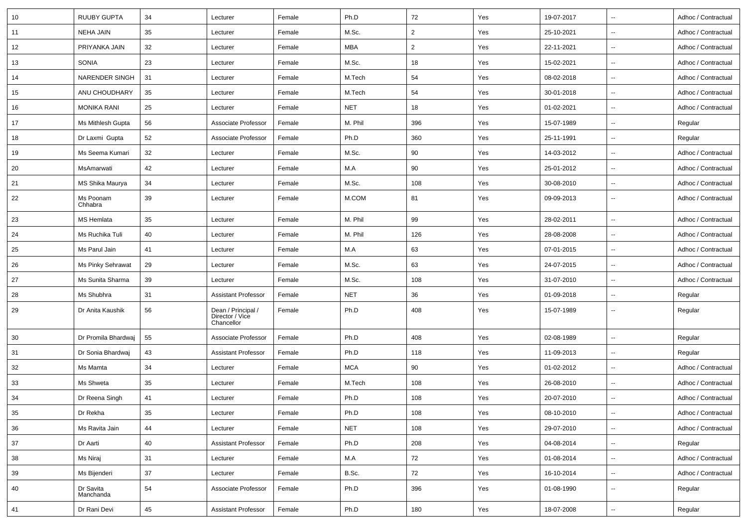| 10     | <b>RUUBY GUPTA</b>     | 34 | Lecturer                                            | Female | Ph.D       | 72             | Yes | 19-07-2017 | $\overline{\phantom{a}}$ | Adhoc / Contractual |
|--------|------------------------|----|-----------------------------------------------------|--------|------------|----------------|-----|------------|--------------------------|---------------------|
| 11     | <b>NEHA JAIN</b>       | 35 | Lecturer                                            | Female | M.Sc.      | $\overline{2}$ | Yes | 25-10-2021 | $\sim$                   | Adhoc / Contractual |
| 12     | PRIYANKA JAIN          | 32 | Lecturer                                            | Female | <b>MBA</b> | $\overline{2}$ | Yes | 22-11-2021 | $\sim$                   | Adhoc / Contractual |
| 13     | SONIA                  | 23 | Lecturer                                            | Female | M.Sc.      | 18             | Yes | 15-02-2021 | $\sim$                   | Adhoc / Contractual |
| 14     | <b>NARENDER SINGH</b>  | 31 | Lecturer                                            | Female | M.Tech     | 54             | Yes | 08-02-2018 | $\sim$                   | Adhoc / Contractual |
| 15     | ANU CHOUDHARY          | 35 | Lecturer                                            | Female | M.Tech     | 54             | Yes | 30-01-2018 | $\sim$                   | Adhoc / Contractual |
| 16     | <b>MONIKA RANI</b>     | 25 | Lecturer                                            | Female | <b>NET</b> | 18             | Yes | 01-02-2021 | $\sim$                   | Adhoc / Contractual |
| 17     | Ms Mithlesh Gupta      | 56 | Associate Professor                                 | Female | M. Phil    | 396            | Yes | 15-07-1989 | $\sim$                   | Regular             |
| 18     | Dr Laxmi Gupta         | 52 | Associate Professor                                 | Female | Ph.D       | 360            | Yes | 25-11-1991 | $\sim$                   | Regular             |
| 19     | Ms Seema Kumari        | 32 | Lecturer                                            | Female | M.Sc.      | 90             | Yes | 14-03-2012 | $\sim$                   | Adhoc / Contractual |
| 20     | MsAmarwati             | 42 | Lecturer                                            | Female | M.A        | 90             | Yes | 25-01-2012 | $\sim$                   | Adhoc / Contractual |
| 21     | MS Shika Maurya        | 34 | Lecturer                                            | Female | M.Sc.      | 108            | Yes | 30-08-2010 | $\sim$                   | Adhoc / Contractual |
| 22     | Ms Poonam<br>Chhabra   | 39 | Lecturer                                            | Female | M.COM      | 81             | Yes | 09-09-2013 | $\sim$                   | Adhoc / Contractual |
| 23     | <b>MS Hemlata</b>      | 35 | Lecturer                                            | Female | M. Phil    | 99             | Yes | 28-02-2011 | $\sim$                   | Adhoc / Contractual |
| 24     | Ms Ruchika Tuli        | 40 | Lecturer                                            | Female | M. Phil    | 126            | Yes | 28-08-2008 | $\sim$                   | Adhoc / Contractual |
| 25     | Ms Parul Jain          | 41 | Lecturer                                            | Female | M.A        | 63             | Yes | 07-01-2015 | $\overline{\phantom{a}}$ | Adhoc / Contractual |
| 26     | Ms Pinky Sehrawat      | 29 | Lecturer                                            | Female | M.Sc.      | 63             | Yes | 24-07-2015 | $\sim$                   | Adhoc / Contractual |
| 27     | Ms Sunita Sharma       | 39 | Lecturer                                            | Female | M.Sc.      | 108            | Yes | 31-07-2010 | $\overline{\phantom{a}}$ | Adhoc / Contractual |
| 28     | Ms Shubhra             | 31 | <b>Assistant Professor</b>                          | Female | <b>NET</b> | 36             | Yes | 01-09-2018 | $\mathbf{u}$             | Regular             |
| 29     | Dr Anita Kaushik       | 56 | Dean / Principal /<br>Director / Vice<br>Chancellor | Female | Ph.D       | 408            | Yes | 15-07-1989 | $\sim$                   | Regular             |
| 30     | Dr Promila Bhardwai    | 55 | Associate Professor                                 | Female | Ph.D       | 408            | Yes | 02-08-1989 | $\sim$                   | Regular             |
| 31     | Dr Sonia Bhardwaj      | 43 | <b>Assistant Professor</b>                          | Female | Ph.D       | 118            | Yes | 11-09-2013 | $\sim$                   | Regular             |
| 32     | Ms Mamta               | 34 | Lecturer                                            | Female | <b>MCA</b> | 90             | Yes | 01-02-2012 | $\sim$                   | Adhoc / Contractual |
| 33     | Ms Shweta              | 35 | Lecturer                                            | Female | M.Tech     | 108            | Yes | 26-08-2010 | $\sim$                   | Adhoc / Contractual |
| 34     | Dr Reena Singh         | 41 | Lecturer                                            | Female | Ph.D       | 108            | Yes | 20-07-2010 | $\mathbf{u}$             | Adhoc / Contractual |
| $35\,$ | Dr Rekha               | 35 | Lecturer                                            | Female | Ph.D       | 108            | Yes | 08-10-2010 | $\ddot{\phantom{a}}$     | Adhoc / Contractual |
| 36     | Ms Ravita Jain         | 44 | Lecturer                                            | Female | <b>NET</b> | 108            | Yes | 29-07-2010 | $\sim$                   | Adhoc / Contractual |
| 37     | Dr Aarti               | 40 | <b>Assistant Professor</b>                          | Female | Ph.D       | 208            | Yes | 04-08-2014 | $\sim$                   | Regular             |
| 38     | Ms Niraj               | 31 | Lecturer                                            | Female | M.A        | 72             | Yes | 01-08-2014 | $\sim$                   | Adhoc / Contractual |
| 39     | Ms Bijenderi           | 37 | Lecturer                                            | Female | B.Sc.      | 72             | Yes | 16-10-2014 | $\sim$                   | Adhoc / Contractual |
| 40     | Dr Savita<br>Manchanda | 54 | Associate Professor                                 | Female | Ph.D       | 396            | Yes | 01-08-1990 | $\overline{\phantom{a}}$ | Regular             |
| 41     | Dr Rani Devi           | 45 | <b>Assistant Professor</b>                          | Female | Ph.D       | 180            | Yes | 18-07-2008 | $\sim$                   | Regular             |